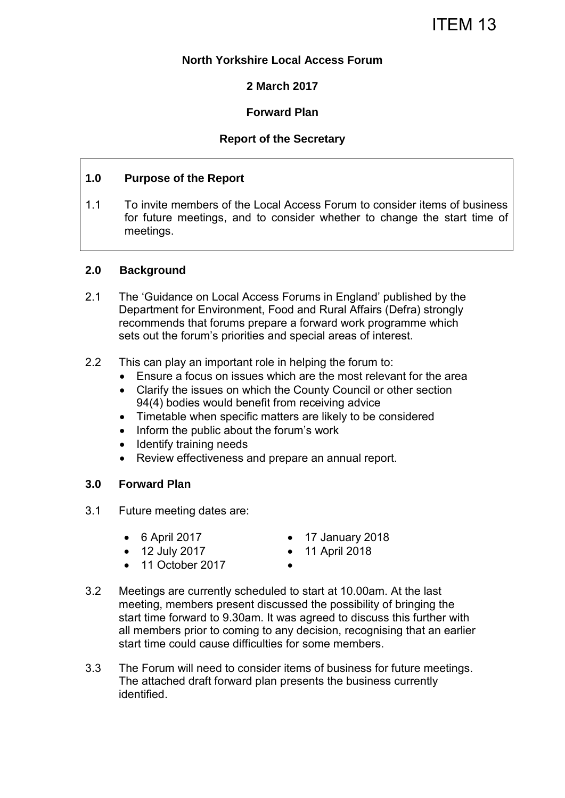ITEM 13

## **North Yorkshire Local Access Forum**

**2 March 2017** 

# **Forward Plan**

## **Report of the Secretary**

## **1.0 Purpose of the Report**

1.1 To invite members of the Local Access Forum to consider items of business for future meetings, and to consider whether to change the start time of meetings.

#### **2.0 Background**

- 2.1 The 'Guidance on Local Access Forums in England' published by the Department for Environment, Food and Rural Affairs (Defra) strongly recommends that forums prepare a forward work programme which sets out the forum's priorities and special areas of interest.
- 2.2 This can play an important role in helping the forum to:
	- Ensure a focus on issues which are the most relevant for the area
	- Clarify the issues on which the County Council or other section 94(4) bodies would benefit from receiving advice
	- Timetable when specific matters are likely to be considered
	- Inform the public about the forum's work
	- Identify training needs
	- Review effectiveness and prepare an annual report.

#### **3.0 Forward Plan**

- 3.1 Future meeting dates are:
	-
	- 12 July 2017 11 April 2018
	- 6 April 2017 17 January 2018
		-
	- 11 October 2017
- 
- 3.2 Meetings are currently scheduled to start at 10.00am. At the last meeting, members present discussed the possibility of bringing the start time forward to 9.30am. It was agreed to discuss this further with all members prior to coming to any decision, recognising that an earlier start time could cause difficulties for some members.
- 3.3 The Forum will need to consider items of business for future meetings. The attached draft forward plan presents the business currently identified.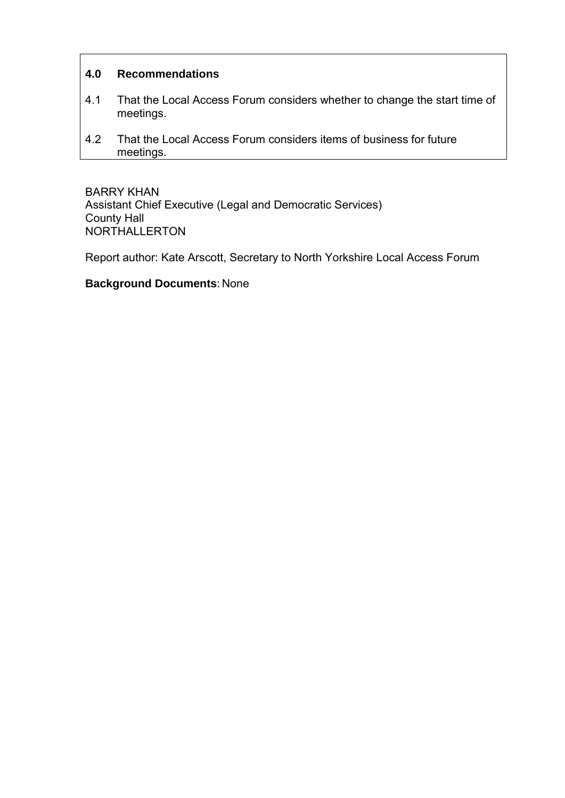# **4.0 Recommendations**

- 4.1 That the Local Access Forum considers whether to change the start time of meetings.
- 4.2 That the Local Access Forum considers items of business for future meetings.

BARRY KHAN Assistant Chief Executive (Legal and Democratic Services) County Hall NORTHALLERTON

Report author: Kate Arscott, Secretary to North Yorkshire Local Access Forum

## **Background Documents**: None